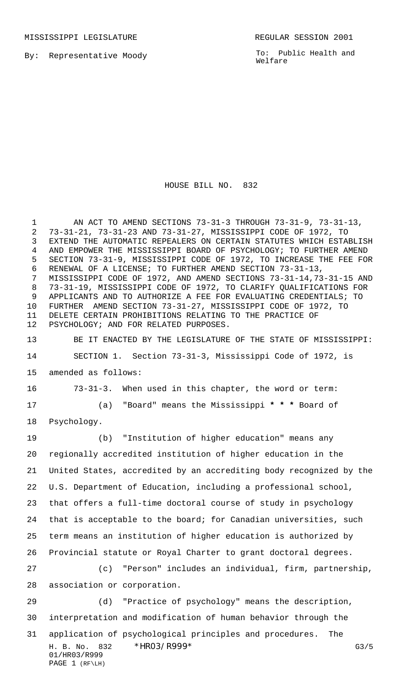MISSISSIPPI LEGISLATURE **REGULAR SESSION 2001** 

By: Representative Moody

To: Public Health and Welfare

## HOUSE BILL NO. 832

H. B. No. 832 \*HRO3/R999\* G3/5 01/HR03/R999 PAGE 1 (RF\LH) AN ACT TO AMEND SECTIONS 73-31-3 THROUGH 73-31-9, 73-31-13, 73-31-21, 73-31-23 AND 73-31-27, MISSISSIPPI CODE OF 1972, TO EXTEND THE AUTOMATIC REPEALERS ON CERTAIN STATUTES WHICH ESTABLISH AND EMPOWER THE MISSISSIPPI BOARD OF PSYCHOLOGY; TO FURTHER AMEND SECTION 73-31-9, MISSISSIPPI CODE OF 1972, TO INCREASE THE FEE FOR RENEWAL OF A LICENSE; TO FURTHER AMEND SECTION 73-31-13, MISSISSIPPI CODE OF 1972, AND AMEND SECTIONS 73-31-14,73-31-15 AND 73-31-19, MISSISSIPPI CODE OF 1972, TO CLARIFY QUALIFICATIONS FOR APPLICANTS AND TO AUTHORIZE A FEE FOR EVALUATING CREDENTIALS; TO FURTHER AMEND SECTION 73-31-27, MISSISSIPPI CODE OF 1972, TO DELETE CERTAIN PROHIBITIONS RELATING TO THE PRACTICE OF PSYCHOLOGY; AND FOR RELATED PURPOSES. BE IT ENACTED BY THE LEGISLATURE OF THE STATE OF MISSISSIPPI: SECTION 1. Section 73-31-3, Mississippi Code of 1972, is amended as follows: 73-31-3. When used in this chapter, the word or term: (a) "Board" means the Mississippi **\* \* \*** Board of Psychology. (b) "Institution of higher education" means any regionally accredited institution of higher education in the United States, accredited by an accrediting body recognized by the U.S. Department of Education, including a professional school, that offers a full-time doctoral course of study in psychology that is acceptable to the board; for Canadian universities, such term means an institution of higher education is authorized by Provincial statute or Royal Charter to grant doctoral degrees. (c) "Person" includes an individual, firm, partnership, association or corporation. (d) "Practice of psychology" means the description, interpretation and modification of human behavior through the application of psychological principles and procedures. The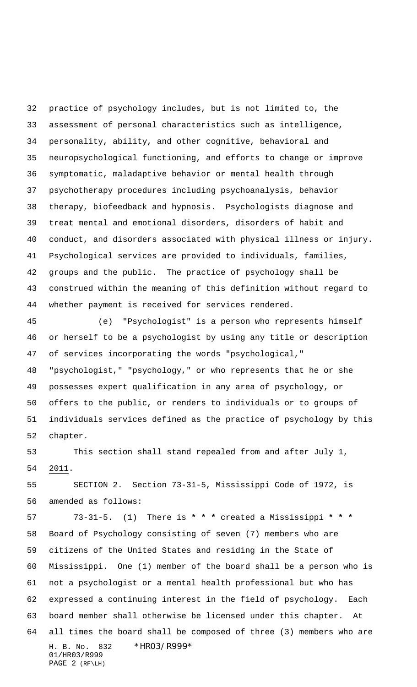practice of psychology includes, but is not limited to, the assessment of personal characteristics such as intelligence, personality, ability, and other cognitive, behavioral and neuropsychological functioning, and efforts to change or improve symptomatic, maladaptive behavior or mental health through psychotherapy procedures including psychoanalysis, behavior therapy, biofeedback and hypnosis. Psychologists diagnose and treat mental and emotional disorders, disorders of habit and conduct, and disorders associated with physical illness or injury. Psychological services are provided to individuals, families, groups and the public. The practice of psychology shall be construed within the meaning of this definition without regard to whether payment is received for services rendered.

 (e) "Psychologist" is a person who represents himself or herself to be a psychologist by using any title or description of services incorporating the words "psychological," "psychologist," "psychology," or who represents that he or she possesses expert qualification in any area of psychology, or offers to the public, or renders to individuals or to groups of individuals services defined as the practice of psychology by this chapter.

 This section shall stand repealed from and after July 1, 2011.

 SECTION 2. Section 73-31-5, Mississippi Code of 1972, is amended as follows:

H. B. No. 832 \*HR03/R999\* 01/HR03/R999 PAGE 2 (RF\LH) 73-31-5. (1) There is **\* \* \*** created a Mississippi **\* \* \*** Board of Psychology consisting of seven (7) members who are citizens of the United States and residing in the State of Mississippi. One (1) member of the board shall be a person who is not a psychologist or a mental health professional but who has expressed a continuing interest in the field of psychology. Each board member shall otherwise be licensed under this chapter. At all times the board shall be composed of three (3) members who are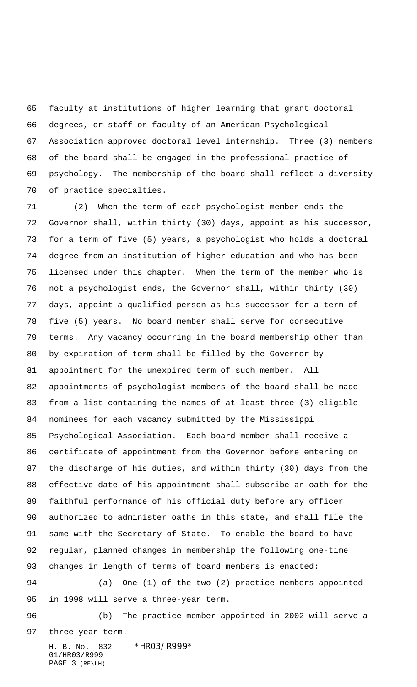faculty at institutions of higher learning that grant doctoral degrees, or staff or faculty of an American Psychological Association approved doctoral level internship. Three (3) members of the board shall be engaged in the professional practice of psychology. The membership of the board shall reflect a diversity of practice specialties.

 (2) When the term of each psychologist member ends the Governor shall, within thirty (30) days, appoint as his successor, for a term of five (5) years, a psychologist who holds a doctoral degree from an institution of higher education and who has been licensed under this chapter. When the term of the member who is not a psychologist ends, the Governor shall, within thirty (30) days, appoint a qualified person as his successor for a term of five (5) years. No board member shall serve for consecutive terms. Any vacancy occurring in the board membership other than by expiration of term shall be filled by the Governor by appointment for the unexpired term of such member. All appointments of psychologist members of the board shall be made from a list containing the names of at least three (3) eligible nominees for each vacancy submitted by the Mississippi Psychological Association. Each board member shall receive a certificate of appointment from the Governor before entering on the discharge of his duties, and within thirty (30) days from the effective date of his appointment shall subscribe an oath for the faithful performance of his official duty before any officer authorized to administer oaths in this state, and shall file the same with the Secretary of State. To enable the board to have regular, planned changes in membership the following one-time changes in length of terms of board members is enacted: (a) One (1) of the two (2) practice members appointed in 1998 will serve a three-year term.

 (b) The practice member appointed in 2002 will serve a three-year term.

H. B. No. 832 \*HR03/R999\* 01/HR03/R999 PAGE 3 (RF\LH)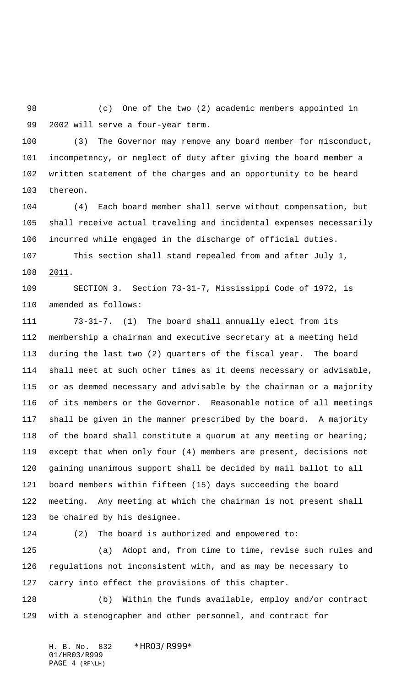(c) One of the two (2) academic members appointed in 2002 will serve a four-year term.

 (3) The Governor may remove any board member for misconduct, incompetency, or neglect of duty after giving the board member a written statement of the charges and an opportunity to be heard thereon.

 (4) Each board member shall serve without compensation, but shall receive actual traveling and incidental expenses necessarily incurred while engaged in the discharge of official duties. This section shall stand repealed from and after July 1,

2011.

 SECTION 3. Section 73-31-7, Mississippi Code of 1972, is amended as follows:

 73-31-7. (1) The board shall annually elect from its membership a chairman and executive secretary at a meeting held during the last two (2) quarters of the fiscal year. The board shall meet at such other times as it deems necessary or advisable, or as deemed necessary and advisable by the chairman or a majority of its members or the Governor. Reasonable notice of all meetings shall be given in the manner prescribed by the board. A majority of the board shall constitute a quorum at any meeting or hearing; except that when only four (4) members are present, decisions not gaining unanimous support shall be decided by mail ballot to all board members within fifteen (15) days succeeding the board meeting. Any meeting at which the chairman is not present shall be chaired by his designee.

(2) The board is authorized and empowered to:

 (a) Adopt and, from time to time, revise such rules and regulations not inconsistent with, and as may be necessary to carry into effect the provisions of this chapter.

 (b) Within the funds available, employ and/or contract with a stenographer and other personnel, and contract for

H. B. No. 832 \*HR03/R999\* 01/HR03/R999 PAGE 4 (RF\LH)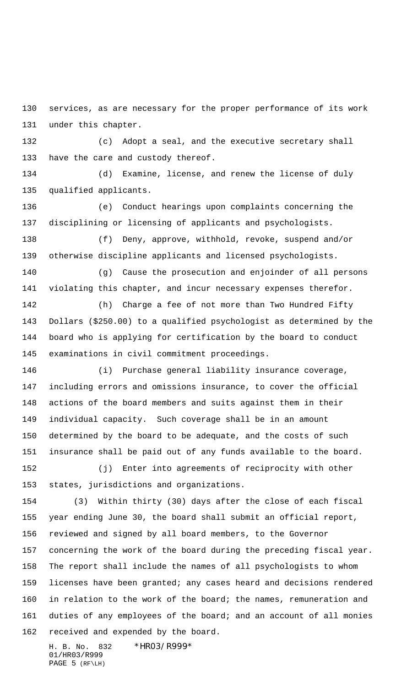services, as are necessary for the proper performance of its work under this chapter.

 (c) Adopt a seal, and the executive secretary shall have the care and custody thereof.

 (d) Examine, license, and renew the license of duly qualified applicants.

 (e) Conduct hearings upon complaints concerning the disciplining or licensing of applicants and psychologists.

 (f) Deny, approve, withhold, revoke, suspend and/or otherwise discipline applicants and licensed psychologists.

 (g) Cause the prosecution and enjoinder of all persons violating this chapter, and incur necessary expenses therefor.

 (h) Charge a fee of not more than Two Hundred Fifty Dollars (\$250.00) to a qualified psychologist as determined by the board who is applying for certification by the board to conduct examinations in civil commitment proceedings.

 (i) Purchase general liability insurance coverage, including errors and omissions insurance, to cover the official actions of the board members and suits against them in their individual capacity. Such coverage shall be in an amount determined by the board to be adequate, and the costs of such insurance shall be paid out of any funds available to the board.

 (j) Enter into agreements of reciprocity with other states, jurisdictions and organizations.

 (3) Within thirty (30) days after the close of each fiscal year ending June 30, the board shall submit an official report, reviewed and signed by all board members, to the Governor concerning the work of the board during the preceding fiscal year. The report shall include the names of all psychologists to whom licenses have been granted; any cases heard and decisions rendered in relation to the work of the board; the names, remuneration and duties of any employees of the board; and an account of all monies received and expended by the board.

H. B. No. 832 \*HR03/R999\* 01/HR03/R999 PAGE 5 (RF\LH)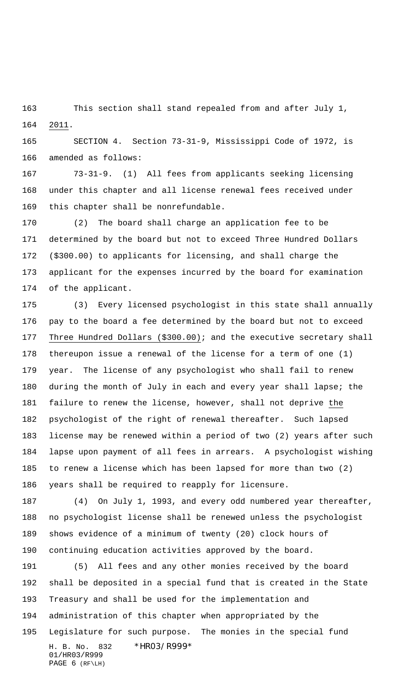This section shall stand repealed from and after July 1, 2011.

 SECTION 4. Section 73-31-9, Mississippi Code of 1972, is amended as follows:

 73-31-9. (1) All fees from applicants seeking licensing under this chapter and all license renewal fees received under this chapter shall be nonrefundable.

 (2) The board shall charge an application fee to be determined by the board but not to exceed Three Hundred Dollars (\$300.00) to applicants for licensing, and shall charge the applicant for the expenses incurred by the board for examination of the applicant.

 (3) Every licensed psychologist in this state shall annually pay to the board a fee determined by the board but not to exceed Three Hundred Dollars (\$300.00); and the executive secretary shall thereupon issue a renewal of the license for a term of one (1) year. The license of any psychologist who shall fail to renew 180 during the month of July in each and every year shall lapse; the failure to renew the license, however, shall not deprive the psychologist of the right of renewal thereafter. Such lapsed license may be renewed within a period of two (2) years after such lapse upon payment of all fees in arrears. A psychologist wishing to renew a license which has been lapsed for more than two (2) years shall be required to reapply for licensure.

 (4) On July 1, 1993, and every odd numbered year thereafter, no psychologist license shall be renewed unless the psychologist shows evidence of a minimum of twenty (20) clock hours of continuing education activities approved by the board.

H. B. No. 832 \*HR03/R999\* 01/HR03/R999 PAGE 6 (RF\LH) (5) All fees and any other monies received by the board shall be deposited in a special fund that is created in the State Treasury and shall be used for the implementation and administration of this chapter when appropriated by the Legislature for such purpose. The monies in the special fund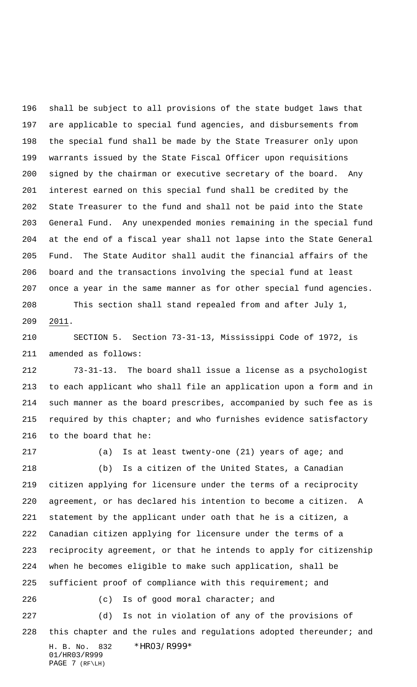shall be subject to all provisions of the state budget laws that are applicable to special fund agencies, and disbursements from the special fund shall be made by the State Treasurer only upon warrants issued by the State Fiscal Officer upon requisitions signed by the chairman or executive secretary of the board. Any interest earned on this special fund shall be credited by the State Treasurer to the fund and shall not be paid into the State General Fund. Any unexpended monies remaining in the special fund at the end of a fiscal year shall not lapse into the State General Fund. The State Auditor shall audit the financial affairs of the board and the transactions involving the special fund at least once a year in the same manner as for other special fund agencies. This section shall stand repealed from and after July 1, 2011.

 SECTION 5. Section 73-31-13, Mississippi Code of 1972, is amended as follows:

 73-31-13. The board shall issue a license as a psychologist to each applicant who shall file an application upon a form and in such manner as the board prescribes, accompanied by such fee as is required by this chapter; and who furnishes evidence satisfactory to the board that he:

H. B. No. 832 \*HR03/R999\* 01/HR03/R999 (a) Is at least twenty-one (21) years of age; and (b) Is a citizen of the United States, a Canadian citizen applying for licensure under the terms of a reciprocity agreement, or has declared his intention to become a citizen. A statement by the applicant under oath that he is a citizen, a Canadian citizen applying for licensure under the terms of a reciprocity agreement, or that he intends to apply for citizenship when he becomes eligible to make such application, shall be sufficient proof of compliance with this requirement; and (c) Is of good moral character; and (d) Is not in violation of any of the provisions of this chapter and the rules and regulations adopted thereunder; and

PAGE 7 (RF\LH)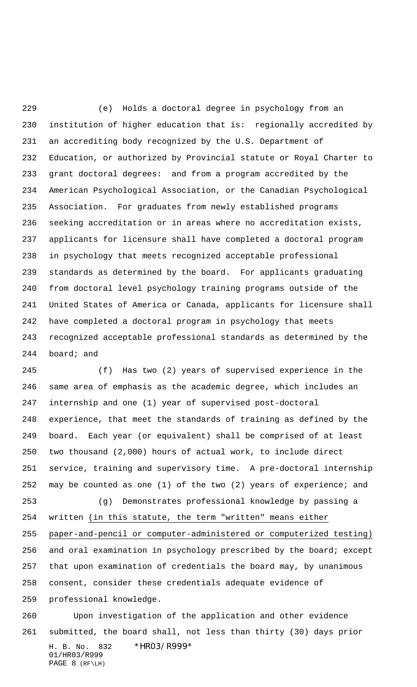(e) Holds a doctoral degree in psychology from an institution of higher education that is: regionally accredited by an accrediting body recognized by the U.S. Department of Education, or authorized by Provincial statute or Royal Charter to grant doctoral degrees: and from a program accredited by the American Psychological Association, or the Canadian Psychological Association. For graduates from newly established programs seeking accreditation or in areas where no accreditation exists, applicants for licensure shall have completed a doctoral program in psychology that meets recognized acceptable professional standards as determined by the board. For applicants graduating from doctoral level psychology training programs outside of the United States of America or Canada, applicants for licensure shall have completed a doctoral program in psychology that meets recognized acceptable professional standards as determined by the board; and

 (f) Has two (2) years of supervised experience in the same area of emphasis as the academic degree, which includes an internship and one (1) year of supervised post-doctoral experience, that meet the standards of training as defined by the board. Each year (or equivalent) shall be comprised of at least two thousand (2,000) hours of actual work, to include direct service, training and supervisory time. A pre-doctoral internship may be counted as one (1) of the two (2) years of experience; and (g) Demonstrates professional knowledge by passing a

 written (in this statute, the term "written" means either paper-and-pencil or computer-administered or computerized testing) and oral examination in psychology prescribed by the board; except that upon examination of credentials the board may, by unanimous consent, consider these credentials adequate evidence of professional knowledge.

H. B. No. 832 \*HR03/R999\* 01/HR03/R999 PAGE 8 (RF\LH) Upon investigation of the application and other evidence submitted, the board shall, not less than thirty (30) days prior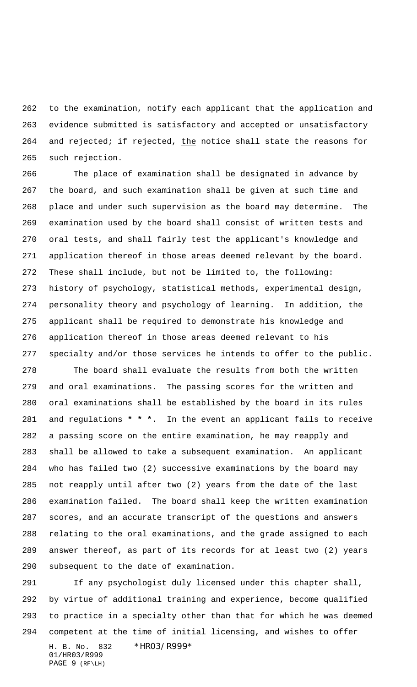to the examination, notify each applicant that the application and evidence submitted is satisfactory and accepted or unsatisfactory and rejected; if rejected, the notice shall state the reasons for such rejection.

 The place of examination shall be designated in advance by the board, and such examination shall be given at such time and place and under such supervision as the board may determine. The examination used by the board shall consist of written tests and oral tests, and shall fairly test the applicant's knowledge and application thereof in those areas deemed relevant by the board. These shall include, but not be limited to, the following: history of psychology, statistical methods, experimental design, personality theory and psychology of learning. In addition, the applicant shall be required to demonstrate his knowledge and application thereof in those areas deemed relevant to his specialty and/or those services he intends to offer to the public.

 The board shall evaluate the results from both the written and oral examinations. The passing scores for the written and oral examinations shall be established by the board in its rules and regulations **\* \* \***. In the event an applicant fails to receive a passing score on the entire examination, he may reapply and shall be allowed to take a subsequent examination. An applicant who has failed two (2) successive examinations by the board may not reapply until after two (2) years from the date of the last examination failed. The board shall keep the written examination scores, and an accurate transcript of the questions and answers relating to the oral examinations, and the grade assigned to each answer thereof, as part of its records for at least two (2) years subsequent to the date of examination.

 If any psychologist duly licensed under this chapter shall, by virtue of additional training and experience, become qualified to practice in a specialty other than that for which he was deemed competent at the time of initial licensing, and wishes to offer

H. B. No. 832 \*HR03/R999\* 01/HR03/R999 PAGE 9 (RF\LH)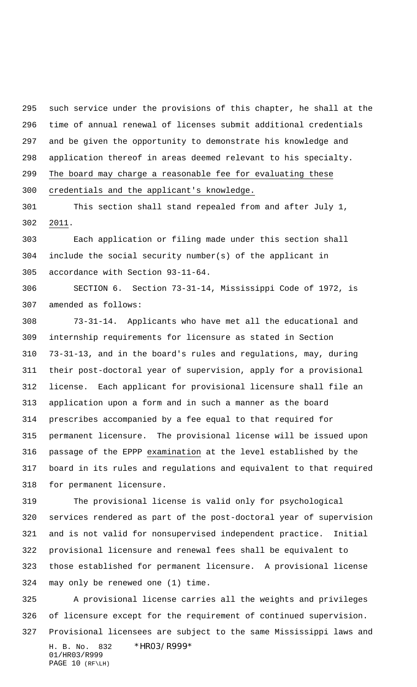such service under the provisions of this chapter, he shall at the time of annual renewal of licenses submit additional credentials and be given the opportunity to demonstrate his knowledge and application thereof in areas deemed relevant to his specialty. The board may charge a reasonable fee for evaluating these credentials and the applicant's knowledge.

 This section shall stand repealed from and after July 1, 2011.

 Each application or filing made under this section shall include the social security number(s) of the applicant in accordance with Section 93-11-64.

 SECTION 6. Section 73-31-14, Mississippi Code of 1972, is amended as follows:

 73-31-14. Applicants who have met all the educational and internship requirements for licensure as stated in Section 73-31-13, and in the board's rules and regulations, may, during their post-doctoral year of supervision, apply for a provisional license. Each applicant for provisional licensure shall file an application upon a form and in such a manner as the board prescribes accompanied by a fee equal to that required for permanent licensure. The provisional license will be issued upon passage of the EPPP examination at the level established by the board in its rules and regulations and equivalent to that required for permanent licensure.

 The provisional license is valid only for psychological services rendered as part of the post-doctoral year of supervision and is not valid for nonsupervised independent practice. Initial provisional licensure and renewal fees shall be equivalent to those established for permanent licensure. A provisional license may only be renewed one (1) time.

H. B. No. 832 \*HR03/R999\* 01/HR03/R999 PAGE 10 (RF\LH) A provisional license carries all the weights and privileges of licensure except for the requirement of continued supervision. Provisional licensees are subject to the same Mississippi laws and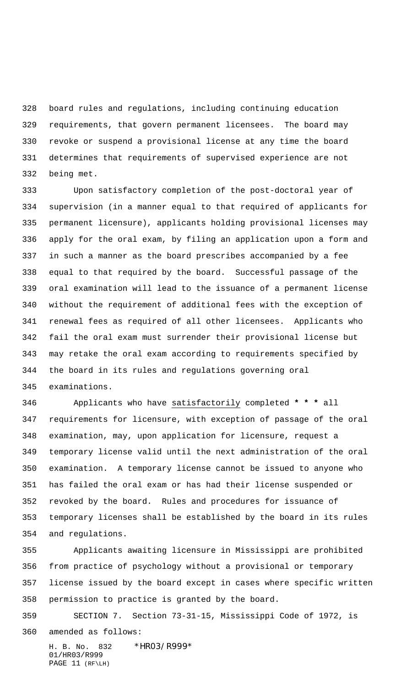board rules and regulations, including continuing education requirements, that govern permanent licensees. The board may revoke or suspend a provisional license at any time the board determines that requirements of supervised experience are not being met.

 Upon satisfactory completion of the post-doctoral year of supervision (in a manner equal to that required of applicants for permanent licensure), applicants holding provisional licenses may apply for the oral exam, by filing an application upon a form and in such a manner as the board prescribes accompanied by a fee equal to that required by the board. Successful passage of the oral examination will lead to the issuance of a permanent license without the requirement of additional fees with the exception of renewal fees as required of all other licensees. Applicants who fail the oral exam must surrender their provisional license but may retake the oral exam according to requirements specified by the board in its rules and regulations governing oral examinations.

 Applicants who have satisfactorily completed **\* \* \*** all requirements for licensure, with exception of passage of the oral examination, may, upon application for licensure, request a temporary license valid until the next administration of the oral examination. A temporary license cannot be issued to anyone who has failed the oral exam or has had their license suspended or revoked by the board. Rules and procedures for issuance of temporary licenses shall be established by the board in its rules and regulations.

 Applicants awaiting licensure in Mississippi are prohibited from practice of psychology without a provisional or temporary license issued by the board except in cases where specific written permission to practice is granted by the board.

 SECTION 7. Section 73-31-15, Mississippi Code of 1972, is amended as follows:

H. B. No. 832 \*HR03/R999\* 01/HR03/R999 PAGE 11 (RF\LH)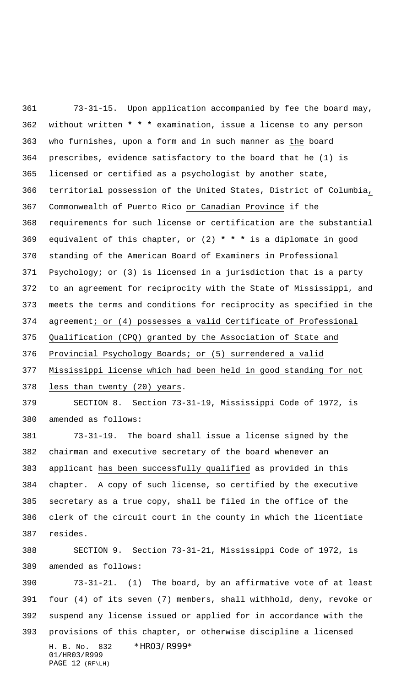73-31-15. Upon application accompanied by fee the board may, without written **\* \* \*** examination, issue a license to any person who furnishes, upon a form and in such manner as the board prescribes, evidence satisfactory to the board that he (1) is licensed or certified as a psychologist by another state, territorial possession of the United States, District of Columbia, Commonwealth of Puerto Rico or Canadian Province if the requirements for such license or certification are the substantial equivalent of this chapter, or (2) **\* \* \*** is a diplomate in good standing of the American Board of Examiners in Professional Psychology; or (3) is licensed in a jurisdiction that is a party to an agreement for reciprocity with the State of Mississippi, and meets the terms and conditions for reciprocity as specified in the agreement; or (4) possesses a valid Certificate of Professional Qualification (CPQ) granted by the Association of State and Provincial Psychology Boards; or (5) surrendered a valid Mississippi license which had been held in good standing for not 378 less than twenty (20) years. SECTION 8. Section 73-31-19, Mississippi Code of 1972, is amended as follows: 73-31-19. The board shall issue a license signed by the chairman and executive secretary of the board whenever an applicant has been successfully qualified as provided in this chapter. A copy of such license, so certified by the executive secretary as a true copy, shall be filed in the office of the clerk of the circuit court in the county in which the licentiate

resides.

 SECTION 9. Section 73-31-21, Mississippi Code of 1972, is amended as follows:

H. B. No. 832 \*HR03/R999\* 01/HR03/R999 PAGE 12 (RF\LH) 73-31-21. (1) The board, by an affirmative vote of at least four (4) of its seven (7) members, shall withhold, deny, revoke or suspend any license issued or applied for in accordance with the provisions of this chapter, or otherwise discipline a licensed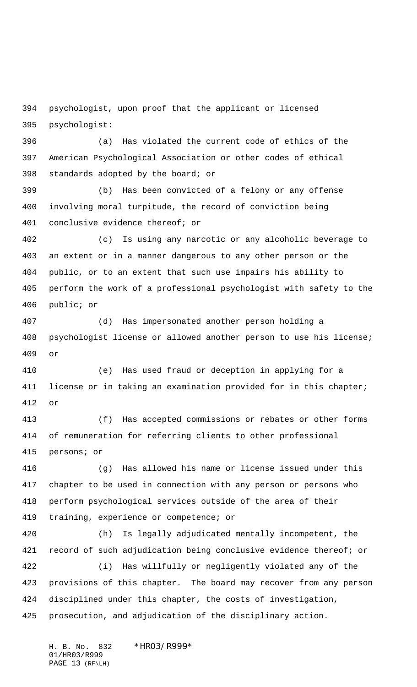psychologist, upon proof that the applicant or licensed psychologist:

 (a) Has violated the current code of ethics of the American Psychological Association or other codes of ethical standards adopted by the board; or

 (b) Has been convicted of a felony or any offense involving moral turpitude, the record of conviction being conclusive evidence thereof; or

 (c) Is using any narcotic or any alcoholic beverage to an extent or in a manner dangerous to any other person or the public, or to an extent that such use impairs his ability to perform the work of a professional psychologist with safety to the public; or

 (d) Has impersonated another person holding a psychologist license or allowed another person to use his license; or

 (e) Has used fraud or deception in applying for a license or in taking an examination provided for in this chapter; or

 (f) Has accepted commissions or rebates or other forms of remuneration for referring clients to other professional persons; or

 (g) Has allowed his name or license issued under this chapter to be used in connection with any person or persons who perform psychological services outside of the area of their training, experience or competence; or

 (h) Is legally adjudicated mentally incompetent, the record of such adjudication being conclusive evidence thereof; or

 (i) Has willfully or negligently violated any of the provisions of this chapter. The board may recover from any person disciplined under this chapter, the costs of investigation, prosecution, and adjudication of the disciplinary action.

H. B. No. 832 \*HR03/R999\* 01/HR03/R999 PAGE 13 (RF\LH)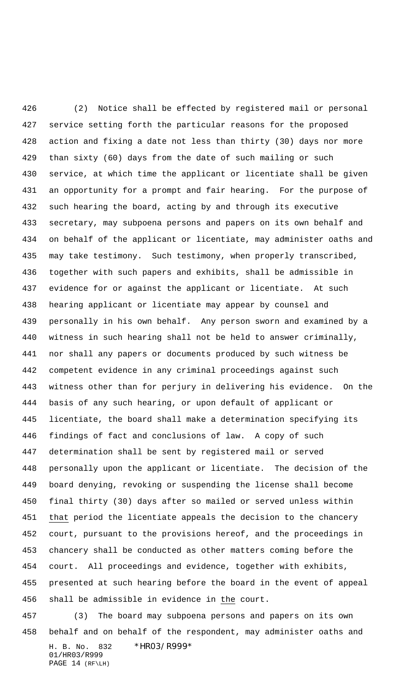(2) Notice shall be effected by registered mail or personal service setting forth the particular reasons for the proposed action and fixing a date not less than thirty (30) days nor more than sixty (60) days from the date of such mailing or such service, at which time the applicant or licentiate shall be given an opportunity for a prompt and fair hearing. For the purpose of such hearing the board, acting by and through its executive secretary, may subpoena persons and papers on its own behalf and on behalf of the applicant or licentiate, may administer oaths and may take testimony. Such testimony, when properly transcribed, together with such papers and exhibits, shall be admissible in evidence for or against the applicant or licentiate. At such hearing applicant or licentiate may appear by counsel and personally in his own behalf. Any person sworn and examined by a witness in such hearing shall not be held to answer criminally, nor shall any papers or documents produced by such witness be competent evidence in any criminal proceedings against such witness other than for perjury in delivering his evidence. On the basis of any such hearing, or upon default of applicant or licentiate, the board shall make a determination specifying its findings of fact and conclusions of law. A copy of such determination shall be sent by registered mail or served personally upon the applicant or licentiate. The decision of the board denying, revoking or suspending the license shall become final thirty (30) days after so mailed or served unless within 451 that period the licentiate appeals the decision to the chancery court, pursuant to the provisions hereof, and the proceedings in chancery shall be conducted as other matters coming before the court. All proceedings and evidence, together with exhibits, presented at such hearing before the board in the event of appeal shall be admissible in evidence in the court.

H. B. No. 832 \*HR03/R999\* 01/HR03/R999 PAGE 14 (RF\LH) (3) The board may subpoena persons and papers on its own behalf and on behalf of the respondent, may administer oaths and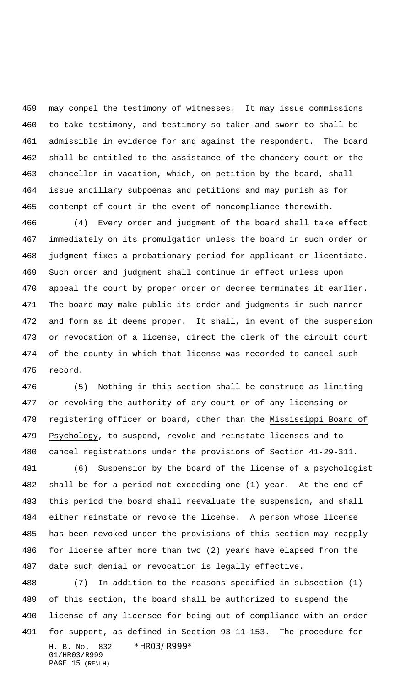may compel the testimony of witnesses. It may issue commissions to take testimony, and testimony so taken and sworn to shall be admissible in evidence for and against the respondent. The board shall be entitled to the assistance of the chancery court or the chancellor in vacation, which, on petition by the board, shall issue ancillary subpoenas and petitions and may punish as for contempt of court in the event of noncompliance therewith.

 (4) Every order and judgment of the board shall take effect immediately on its promulgation unless the board in such order or judgment fixes a probationary period for applicant or licentiate. Such order and judgment shall continue in effect unless upon appeal the court by proper order or decree terminates it earlier. The board may make public its order and judgments in such manner and form as it deems proper. It shall, in event of the suspension or revocation of a license, direct the clerk of the circuit court of the county in which that license was recorded to cancel such record.

 (5) Nothing in this section shall be construed as limiting or revoking the authority of any court or of any licensing or registering officer or board, other than the Mississippi Board of Psychology, to suspend, revoke and reinstate licenses and to cancel registrations under the provisions of Section 41-29-311.

 (6) Suspension by the board of the license of a psychologist shall be for a period not exceeding one (1) year. At the end of this period the board shall reevaluate the suspension, and shall either reinstate or revoke the license. A person whose license has been revoked under the provisions of this section may reapply for license after more than two (2) years have elapsed from the date such denial or revocation is legally effective.

H. B. No. 832 \*HR03/R999\* 01/HR03/R999 PAGE 15 (RF\LH) (7) In addition to the reasons specified in subsection (1) of this section, the board shall be authorized to suspend the license of any licensee for being out of compliance with an order for support, as defined in Section 93-11-153. The procedure for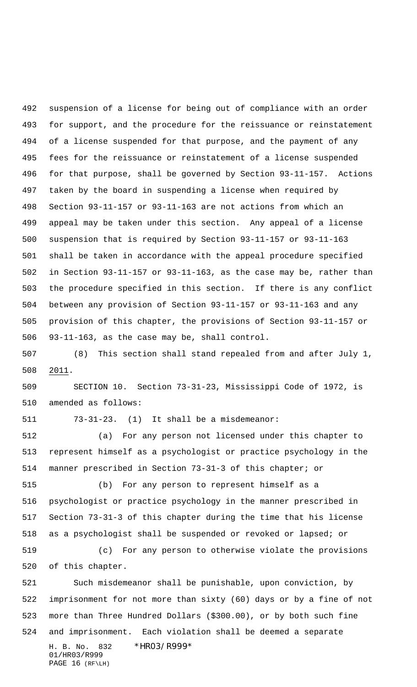suspension of a license for being out of compliance with an order for support, and the procedure for the reissuance or reinstatement of a license suspended for that purpose, and the payment of any fees for the reissuance or reinstatement of a license suspended for that purpose, shall be governed by Section 93-11-157. Actions taken by the board in suspending a license when required by Section 93-11-157 or 93-11-163 are not actions from which an appeal may be taken under this section. Any appeal of a license suspension that is required by Section 93-11-157 or 93-11-163 shall be taken in accordance with the appeal procedure specified in Section 93-11-157 or 93-11-163, as the case may be, rather than the procedure specified in this section. If there is any conflict between any provision of Section 93-11-157 or 93-11-163 and any provision of this chapter, the provisions of Section 93-11-157 or 93-11-163, as the case may be, shall control.

 (8) This section shall stand repealed from and after July 1, 2011.

 SECTION 10. Section 73-31-23, Mississippi Code of 1972, is amended as follows:

73-31-23. (1) It shall be a misdemeanor:

 (a) For any person not licensed under this chapter to represent himself as a psychologist or practice psychology in the manner prescribed in Section 73-31-3 of this chapter; or

 (b) For any person to represent himself as a psychologist or practice psychology in the manner prescribed in Section 73-31-3 of this chapter during the time that his license as a psychologist shall be suspended or revoked or lapsed; or

 (c) For any person to otherwise violate the provisions of this chapter.

H. B. No. 832 \*HR03/R999\* 01/HR03/R999 Such misdemeanor shall be punishable, upon conviction, by imprisonment for not more than sixty (60) days or by a fine of not more than Three Hundred Dollars (\$300.00), or by both such fine and imprisonment. Each violation shall be deemed a separate

PAGE 16 (RF\LH)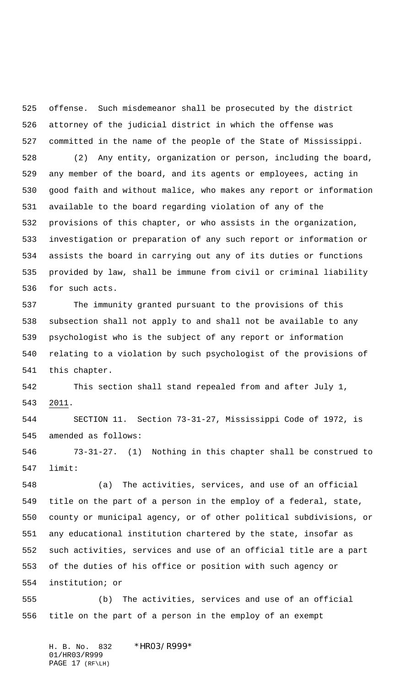offense. Such misdemeanor shall be prosecuted by the district attorney of the judicial district in which the offense was committed in the name of the people of the State of Mississippi.

 (2) Any entity, organization or person, including the board, any member of the board, and its agents or employees, acting in good faith and without malice, who makes any report or information available to the board regarding violation of any of the provisions of this chapter, or who assists in the organization, investigation or preparation of any such report or information or assists the board in carrying out any of its duties or functions provided by law, shall be immune from civil or criminal liability for such acts.

 The immunity granted pursuant to the provisions of this subsection shall not apply to and shall not be available to any psychologist who is the subject of any report or information relating to a violation by such psychologist of the provisions of this chapter.

 This section shall stand repealed from and after July 1, 2011.

 SECTION 11. Section 73-31-27, Mississippi Code of 1972, is amended as follows:

 73-31-27. (1) Nothing in this chapter shall be construed to limit:

 (a) The activities, services, and use of an official title on the part of a person in the employ of a federal, state, county or municipal agency, or of other political subdivisions, or any educational institution chartered by the state, insofar as such activities, services and use of an official title are a part of the duties of his office or position with such agency or institution; or

 (b) The activities, services and use of an official title on the part of a person in the employ of an exempt

H. B. No. 832 \*HR03/R999\* 01/HR03/R999 PAGE 17 (RF\LH)